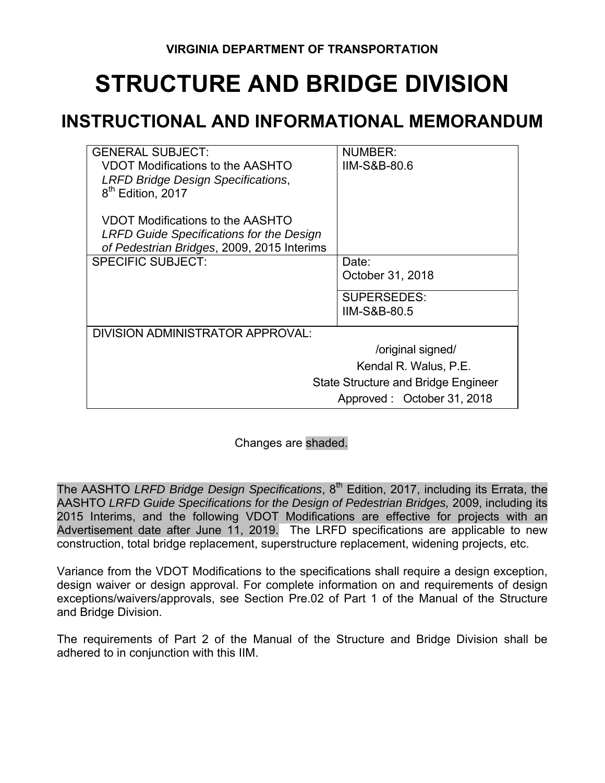# **STRUCTURE AND BRIDGE DIVISION**

# **INSTRUCTIONAL AND INFORMATIONAL MEMORANDUM**

| <b>GENERAL SUBJECT:</b><br>VDOT Modifications to the AASHTO<br><b>LRFD Bridge Design Specifications,</b><br>8 <sup>th</sup> Edition, 2017 | NUMBER:<br>IIM-S&B-80.6                       |  |  |  |
|-------------------------------------------------------------------------------------------------------------------------------------------|-----------------------------------------------|--|--|--|
| VDOT Modifications to the AASHTO<br><b>LRFD Guide Specifications for the Design</b><br>of Pedestrian Bridges, 2009, 2015 Interims         |                                               |  |  |  |
| <b>SPECIFIC SUBJECT:</b>                                                                                                                  | Date:<br>October 31, 2018                     |  |  |  |
|                                                                                                                                           | <b>SUPERSEDES:</b><br><b>IIM-S&amp;B-80.5</b> |  |  |  |
| DIVISION ADMINISTRATOR APPROVAL:                                                                                                          |                                               |  |  |  |
|                                                                                                                                           | /original signed/                             |  |  |  |
|                                                                                                                                           | Kendal R. Walus, P.E.                         |  |  |  |
| <b>State Structure and Bridge Engineer</b>                                                                                                |                                               |  |  |  |
|                                                                                                                                           | Approved: October 31, 2018                    |  |  |  |

Changes are shaded.

The AASHTO LRFD Bridge Design Specifications, 8<sup>th</sup> Edition, 2017, including its Errata, the AASHTO *LRFD Guide Specifications for the Design of Pedestrian Bridges,* 2009, including its 2015 Interims, and the following VDOT Modifications are effective for projects with an Advertisement date after June 11, 2019. The LRFD specifications are applicable to new construction, total bridge replacement, superstructure replacement, widening projects, etc.

Variance from the VDOT Modifications to the specifications shall require a design exception, design waiver or design approval. For complete information on and requirements of design exceptions/waivers/approvals, see Section Pre.02 of Part 1 of the Manual of the Structure and Bridge Division.

The requirements of Part 2 of the Manual of the Structure and Bridge Division shall be adhered to in conjunction with this IIM.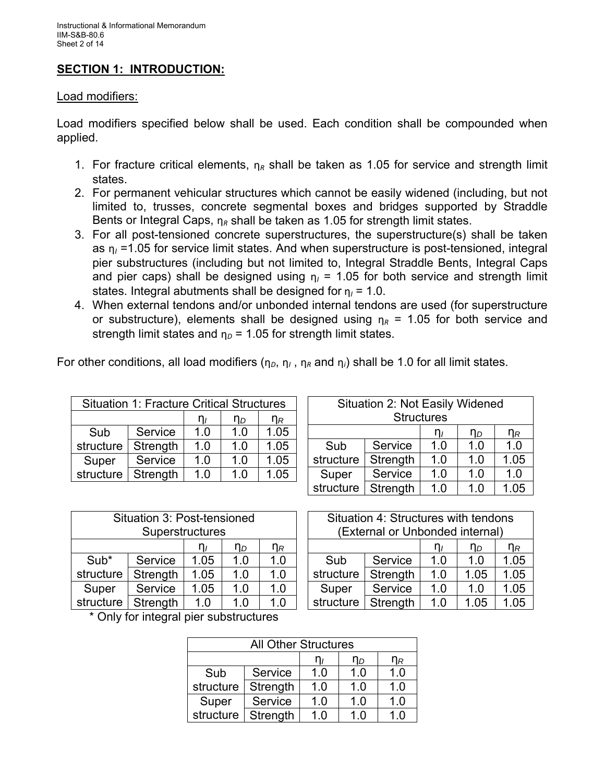# **SECTION 1: INTRODUCTION:**

#### Load modifiers:

Load modifiers specified below shall be used. Each condition shall be compounded when applied.

- 1. For fracture critical elements,  $n_R$  shall be taken as 1.05 for service and strength limit states.
- 2. For permanent vehicular structures which cannot be easily widened (including, but not limited to, trusses, concrete segmental boxes and bridges supported by Straddle Bents or Integral Caps,  $\eta_R$  shall be taken as 1.05 for strength limit states.
- 3. For all post-tensioned concrete superstructures, the superstructure(s) shall be taken as  $\eta$  =1.05 for service limit states. And when superstructure is post-tensioned, integral pier substructures (including but not limited to, Integral Straddle Bents, Integral Caps and pier caps) shall be designed using  $\eta_1$  = 1.05 for both service and strength limit states. Integral abutments shall be designed for  $\eta_1 = 1.0$ .
- 4. When external tendons and/or unbonded internal tendons are used (for superstructure or substructure), elements shall be designed using  $n_R = 1.05$  for both service and strength limit states and  $\eta_D$  = 1.05 for strength limit states.

For other conditions, all load modifiers ( $\eta_D$ ,  $\eta_I$ ,  $\eta_R$  and  $\eta_i$ ) shall be 1.0 for all limit states.

| <b>Situation 1: Fracture Critical Structures</b> |          |            |                |                |
|--------------------------------------------------|----------|------------|----------------|----------------|
|                                                  |          | $n_{\ell}$ | n <sub>D</sub> | η <sub>R</sub> |
| Sub                                              | Service  | 1.0        | 1.0            | 1.05           |
| structure                                        | Strength | 1.0        | 1.0            | 1.05           |
| Super                                            | Service  | 1.0        | 1.0            | 1.05           |
| structure                                        | Strength | 1.0        | 1.0            | 1.05           |

| Situation 2: Not Easily Widened |          |                   |     |      |  |
|---------------------------------|----------|-------------------|-----|------|--|
|                                 |          | <b>Structures</b> |     |      |  |
| $\eta_R$<br>ηD<br>''            |          |                   |     |      |  |
| Sub                             | Service  | 1.0               | 1.0 | 1.0  |  |
| structure                       | Strength | 1.0               | 1.0 | 1.05 |  |
| Super                           | Service  | 1.0               | 1.0 | 1.0  |  |
| structure                       | Strength | 1.0               | 1.0 | 1.05 |  |

| Situation 3: Post-tensioned |                 |      |     |     |  |
|-----------------------------|-----------------|------|-----|-----|--|
|                             | Superstructures |      |     |     |  |
| η $_{R}$<br>n <sub>D</sub>  |                 |      |     |     |  |
| Sub*                        | Service         | 1.05 | 1.0 | 1.0 |  |
| structure                   | Strength        | 1.05 | 1.0 | 1.0 |  |
| Super                       | Service         | 1.05 | 1.0 | 1.0 |  |
| structure                   | Strength        | 1.0  | 1.0 | 1.0 |  |

| Situation 4: Structures with tendons |                                 |     |      |      |  |
|--------------------------------------|---------------------------------|-----|------|------|--|
|                                      | (External or Unbonded internal) |     |      |      |  |
| $\eta_R$<br>nь<br>1 I I              |                                 |     |      |      |  |
| Sub                                  | Service                         | 1.0 | 1.0  | 1.05 |  |
| structure                            | Strength                        | 1.0 | 1.05 | 1.05 |  |
| Super                                | Service                         | 1.0 | 1.0  | 1.05 |  |
| structure                            | Strength                        | 1.0 | 1.05 | 1.05 |  |

\* Only for integral pier substructures

| <b>All Other Structures</b>      |          |     |     |     |  |  |
|----------------------------------|----------|-----|-----|-----|--|--|
| η <sub>R</sub><br>n <sub>D</sub> |          |     |     |     |  |  |
| Sub                              | Service  | 1.0 | 1.0 | 1.0 |  |  |
| structure                        | Strength | 1.0 | 1.0 | 1.0 |  |  |
| Super                            | Service  | 1.0 | 1.0 | 1.0 |  |  |
| structure                        | Strength | 1 በ | 1.0 | 1.0 |  |  |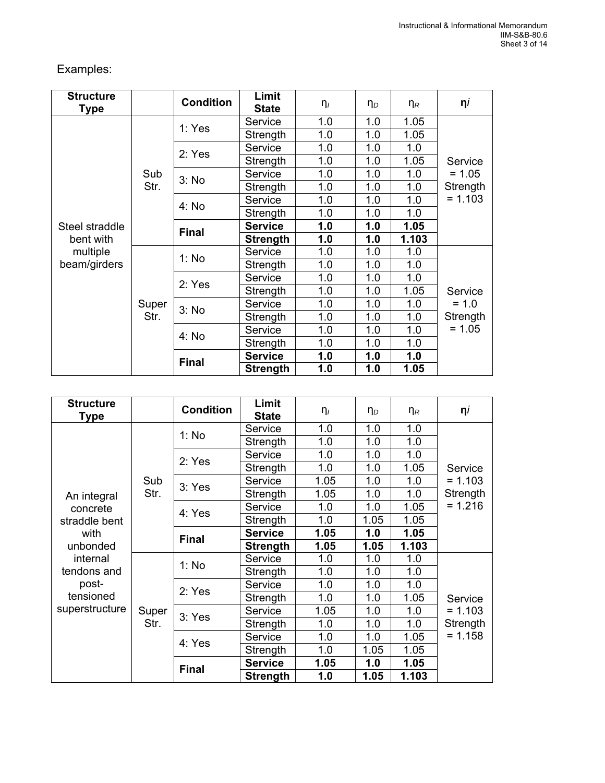# Examples:

| <b>Structure</b><br>Type |       | <b>Condition</b> | Limit<br><b>State</b> | $\eta_I$ | $\eta_D$ | $\eta_R$ | $\eta$    |
|--------------------------|-------|------------------|-----------------------|----------|----------|----------|-----------|
|                          |       | 1: Yes           | Service               | 1.0      | 1.0      | 1.05     |           |
|                          |       |                  | Strength              | 1.0      | 1.0      | 1.05     |           |
|                          |       | 2: Yes           | Service               | 1.0      | 1.0      | 1.0      |           |
|                          |       |                  | Strength              | 1.0      | 1.0      | 1.05     | Service   |
|                          | Sub   | 3: No            | Service               | 1.0      | 1.0      | 1.0      | $= 1.05$  |
|                          | Str.  |                  | Strength              | 1.0      | 1.0      | 1.0      | Strength  |
|                          |       | 4: No            | Service               | 1.0      | 1.0      | 1.0      | $= 1.103$ |
| Steel straddle           |       |                  | Strength              | 1.0      | 1.0      | 1.0      |           |
|                          |       | <b>Final</b>     | <b>Service</b>        | 1.0      | 1.0      | 1.05     |           |
| bent with                |       |                  | <b>Strength</b>       | 1.0      | 1.0      | 1.103    |           |
| multiple                 |       | 1: No            | Service               | 1.0      | 1.0      | 1.0      |           |
| beam/girders             |       |                  | Strength              | 1.0      | 1.0      | 1.0      |           |
|                          |       | 2: Yes           | Service               | 1.0      | 1.0      | 1.0      |           |
|                          |       |                  | Strength              | 1.0      | 1.0      | 1.05     | Service   |
|                          | Super | 3: No            | Service               | 1.0      | 1.0      | 1.0      | $= 1.0$   |
|                          | Str.  |                  | Strength              | 1.0      | 1.0      | 1.0      | Strength  |
|                          |       | 4: No            | Service               | 1.0      | 1.0      | 1.0      | $= 1.05$  |
|                          |       |                  | Strength              | 1.0      | 1.0      | 1.0      |           |
|                          |       | <b>Final</b>     | <b>Service</b>        | 1.0      | 1.0      | 1.0      |           |
|                          |       |                  | <b>Strength</b>       | 1.0      | 1.0      | 1.05     |           |

| <b>Structure</b><br><b>Type</b>  |       | <b>Condition</b> | Limit<br><b>State</b> | $\eta_I$ | $\eta_D$ | $\eta_R$ | $\eta$    |
|----------------------------------|-------|------------------|-----------------------|----------|----------|----------|-----------|
|                                  |       | 1: No            | Service               | 1.0      | 1.0      | 1.0      |           |
|                                  |       |                  | Strength              | 1.0      | 1.0      | 1.0      |           |
|                                  |       | 2: Yes           | Service               | 1.0      | 1.0      | 1.0      |           |
|                                  |       |                  | Strength              | 1.0      | 1.0      | 1.05     | Service   |
|                                  | Sub   | 3: Yes           | Service               | 1.05     | 1.0      | 1.0      | $= 1.103$ |
| An integral                      | Str.  |                  | Strength              | 1.05     | 1.0      | 1.0      | Strength  |
| concrete                         |       | 4: Yes           | Service               | 1.0      | 1.0      | 1.05     | $= 1.216$ |
| straddle bent<br>with            |       |                  | Strength              | 1.0      | 1.05     | 1.05     |           |
|                                  |       | <b>Final</b>     | <b>Service</b>        | 1.05     | 1.0      | 1.05     |           |
| unbonded                         |       |                  | <b>Strength</b>       | 1.05     | 1.05     | 1.103    |           |
| internal<br>tendons and<br>post- |       | 1: No            | Service               | 1.0      | 1.0      | 1.0      |           |
|                                  |       |                  | Strength              | 1.0      | 1.0      | 1.0      |           |
|                                  |       | 2: Yes           | Service               | 1.0      | 1.0      | 1.0      |           |
| tensioned                        |       |                  | Strength              | 1.0      | 1.0      | 1.05     | Service   |
| superstructure                   | Super | 3: Yes           | Service               | 1.05     | 1.0      | 1.0      | $= 1.103$ |
|                                  | Str.  |                  | Strength              | 1.0      | 1.0      | 1.0      | Strength  |
|                                  |       | 4: Yes           | Service               | 1.0      | 1.0      | 1.05     | $= 1.158$ |
|                                  |       |                  | Strength              | 1.0      | 1.05     | 1.05     |           |
|                                  |       | <b>Final</b>     | <b>Service</b>        | 1.05     | 1.0      | 1.05     |           |
|                                  |       |                  | <b>Strength</b>       | 1.0      | 1.05     | 1.103    |           |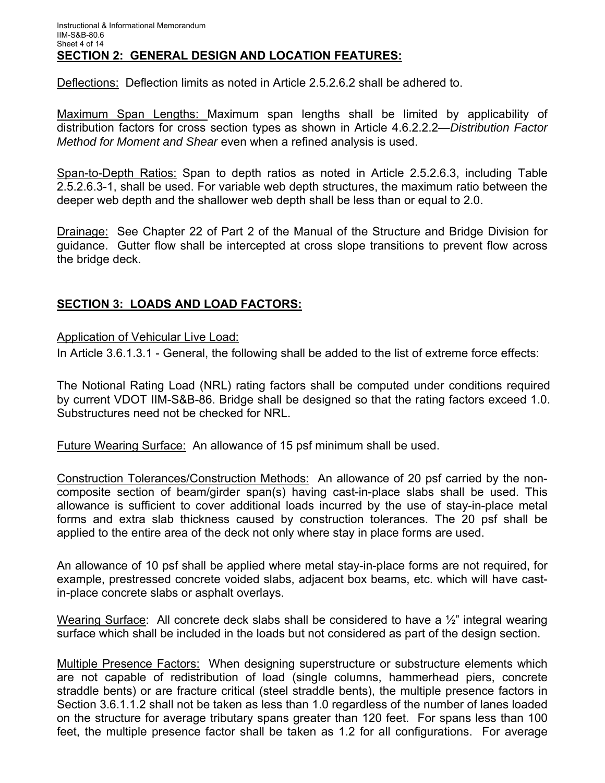Deflections: Deflection limits as noted in Article 2.5.2.6.2 shall be adhered to.

Maximum Span Lengths: Maximum span lengths shall be limited by applicability of distribution factors for cross section types as shown in Article 4.6.2.2.2—*Distribution Factor Method for Moment and Shear* even when a refined analysis is used.

Span-to-Depth Ratios: Span to depth ratios as noted in Article 2.5.2.6.3, including Table 2.5.2.6.3-1, shall be used. For variable web depth structures, the maximum ratio between the deeper web depth and the shallower web depth shall be less than or equal to 2.0.

Drainage: See Chapter 22 of Part 2 of the Manual of the Structure and Bridge Division for guidance. Gutter flow shall be intercepted at cross slope transitions to prevent flow across the bridge deck.

# **SECTION 3: LOADS AND LOAD FACTORS:**

Application of Vehicular Live Load:

In Article 3.6.1.3.1 - General, the following shall be added to the list of extreme force effects:

The Notional Rating Load (NRL) rating factors shall be computed under conditions required by current VDOT IIM-S&B-86. Bridge shall be designed so that the rating factors exceed 1.0. Substructures need not be checked for NRL.

Future Wearing Surface: An allowance of 15 psf minimum shall be used.

Construction Tolerances/Construction Methods: An allowance of 20 psf carried by the noncomposite section of beam/girder span(s) having cast-in-place slabs shall be used. This allowance is sufficient to cover additional loads incurred by the use of stay-in-place metal forms and extra slab thickness caused by construction tolerances. The 20 psf shall be applied to the entire area of the deck not only where stay in place forms are used.

An allowance of 10 psf shall be applied where metal stay-in-place forms are not required, for example, prestressed concrete voided slabs, adjacent box beams, etc. which will have castin-place concrete slabs or asphalt overlays.

Wearing Surface: All concrete deck slabs shall be considered to have a 1/2" integral wearing surface which shall be included in the loads but not considered as part of the design section.

Multiple Presence Factors: When designing superstructure or substructure elements which are not capable of redistribution of load (single columns, hammerhead piers, concrete straddle bents) or are fracture critical (steel straddle bents), the multiple presence factors in Section 3.6.1.1.2 shall not be taken as less than 1.0 regardless of the number of lanes loaded on the structure for average tributary spans greater than 120 feet. For spans less than 100 feet, the multiple presence factor shall be taken as 1.2 for all configurations. For average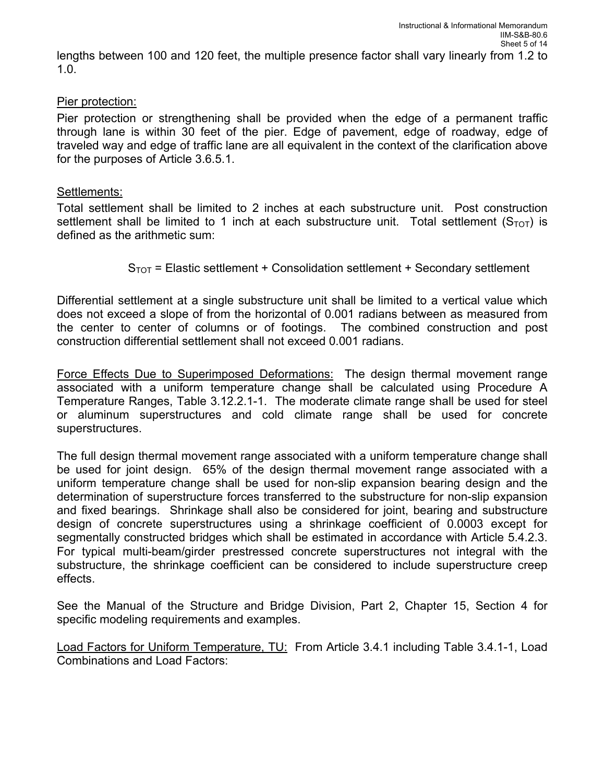lengths between 100 and 120 feet, the multiple presence factor shall vary linearly from 1.2 to 1.0.

#### Pier protection:

Pier protection or strengthening shall be provided when the edge of a permanent traffic through lane is within 30 feet of the pier. Edge of pavement, edge of roadway, edge of traveled way and edge of traffic lane are all equivalent in the context of the clarification above for the purposes of Article 3.6.5.1.

#### Settlements:

Total settlement shall be limited to 2 inches at each substructure unit. Post construction settlement shall be limited to 1 inch at each substructure unit. Total settlement ( $S_{\text{TOT}}$ ) is defined as the arithmetic sum:

 $S<sub>TOT</sub>$  = Elastic settlement + Consolidation settlement + Secondary settlement

Differential settlement at a single substructure unit shall be limited to a vertical value which does not exceed a slope of from the horizontal of 0.001 radians between as measured from the center to center of columns or of footings. The combined construction and post construction differential settlement shall not exceed 0.001 radians.

Force Effects Due to Superimposed Deformations: The design thermal movement range associated with a uniform temperature change shall be calculated using Procedure A Temperature Ranges, Table 3.12.2.1-1. The moderate climate range shall be used for steel or aluminum superstructures and cold climate range shall be used for concrete superstructures.

The full design thermal movement range associated with a uniform temperature change shall be used for joint design. 65% of the design thermal movement range associated with a uniform temperature change shall be used for non-slip expansion bearing design and the determination of superstructure forces transferred to the substructure for non-slip expansion and fixed bearings. Shrinkage shall also be considered for joint, bearing and substructure design of concrete superstructures using a shrinkage coefficient of 0.0003 except for segmentally constructed bridges which shall be estimated in accordance with Article 5.4.2.3. For typical multi-beam/girder prestressed concrete superstructures not integral with the substructure, the shrinkage coefficient can be considered to include superstructure creep effects.

See the Manual of the Structure and Bridge Division, Part 2, Chapter 15, Section 4 for specific modeling requirements and examples.

Load Factors for Uniform Temperature, TU: From Article 3.4.1 including Table 3.4.1-1, Load Combinations and Load Factors: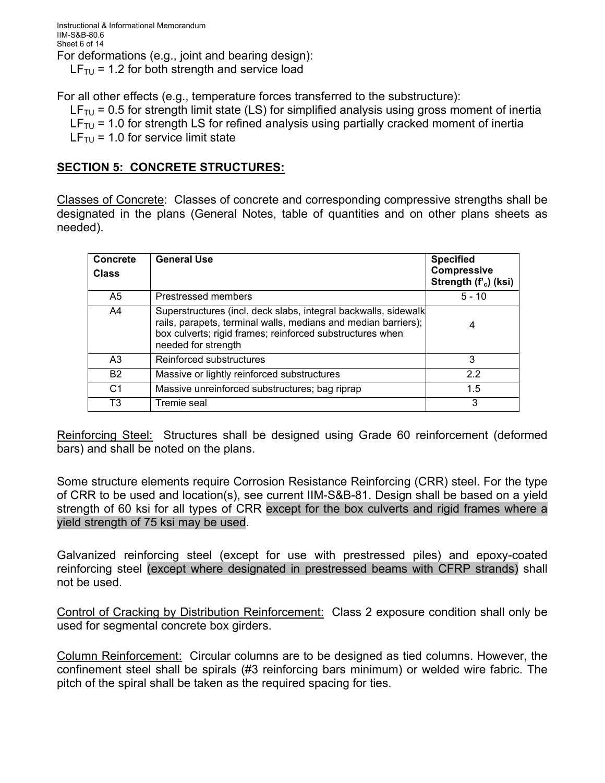For all other effects (e.g., temperature forces transferred to the substructure):

 $LF_{\text{TU}}$  = 0.5 for strength limit state (LS) for simplified analysis using gross moment of inertia  $LF_{TU}$  = 1.0 for strength LS for refined analysis using partially cracked moment of inertia  $LF_{\text{TL}}$  = 1.0 for service limit state

# **SECTION 5: CONCRETE STRUCTURES:**

Classes of Concrete: Classes of concrete and corresponding compressive strengths shall be designated in the plans (General Notes, table of quantities and on other plans sheets as needed).

| <b>Concrete</b><br><b>Class</b> | <b>General Use</b>                                                                                                                                                                                                    | <b>Specified</b><br>Compressive<br>Strength (f'c) (ksi) |
|---------------------------------|-----------------------------------------------------------------------------------------------------------------------------------------------------------------------------------------------------------------------|---------------------------------------------------------|
| A <sub>5</sub>                  | Prestressed members                                                                                                                                                                                                   | $5 - 10$                                                |
| A4                              | Superstructures (incl. deck slabs, integral backwalls, sidewalk<br>rails, parapets, terminal walls, medians and median barriers);<br>box culverts; rigid frames; reinforced substructures when<br>needed for strength | 4                                                       |
| A <sub>3</sub>                  | Reinforced substructures                                                                                                                                                                                              | 3                                                       |
| <b>B2</b>                       | Massive or lightly reinforced substructures                                                                                                                                                                           | 2.2                                                     |
| C <sub>1</sub>                  | Massive unreinforced substructures; bag riprap                                                                                                                                                                        | 1.5                                                     |
| T3                              | Tremie seal                                                                                                                                                                                                           | 3                                                       |

Reinforcing Steel: Structures shall be designed using Grade 60 reinforcement (deformed bars) and shall be noted on the plans.

Some structure elements require Corrosion Resistance Reinforcing (CRR) steel. For the type of CRR to be used and location(s), see current IIM-S&B-81. Design shall be based on a yield strength of 60 ksi for all types of CRR except for the box culverts and rigid frames where a yield strength of 75 ksi may be used.

Galvanized reinforcing steel (except for use with prestressed piles) and epoxy-coated reinforcing steel (except where designated in prestressed beams with CFRP strands) shall not be used.

Control of Cracking by Distribution Reinforcement: Class 2 exposure condition shall only be used for segmental concrete box girders.

Column Reinforcement: Circular columns are to be designed as tied columns. However, the confinement steel shall be spirals (#3 reinforcing bars minimum) or welded wire fabric. The pitch of the spiral shall be taken as the required spacing for ties.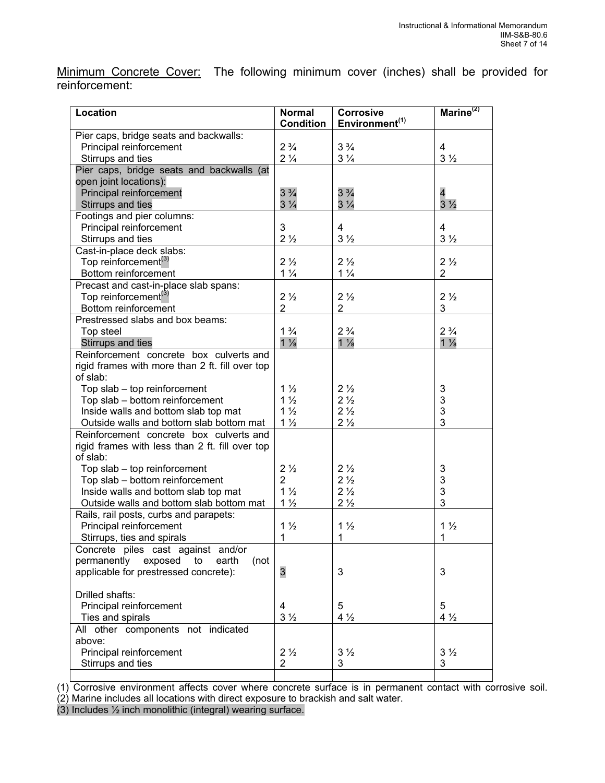Minimum Concrete Cover: The following minimum cover (inches) shall be provided for reinforcement:

| <b>Location</b>                                 | <b>Normal</b><br><b>Condition</b> | <b>Corrosive</b><br>Environment <sup>(1)</sup> | Marine <sup>(2)</sup>   |
|-------------------------------------------------|-----------------------------------|------------------------------------------------|-------------------------|
| Pier caps, bridge seats and backwalls:          |                                   |                                                |                         |
| Principal reinforcement                         | $2\frac{3}{4}$                    | $3\frac{3}{4}$                                 | $\overline{4}$          |
| Stirrups and ties                               | $2\frac{1}{4}$                    | $3\frac{1}{4}$                                 | $3\frac{1}{2}$          |
| Pier caps, bridge seats and backwalls (at       |                                   |                                                |                         |
| open joint locations):                          |                                   |                                                |                         |
| Principal reinforcement                         | $3\frac{3}{4}$                    | $3\frac{3}{4}$                                 | $\overline{\mathbf{4}}$ |
| Stirrups and ties                               | $3\frac{1}{4}$                    | $3\frac{1}{4}$                                 | $3\frac{1}{2}$          |
| Footings and pier columns:                      |                                   |                                                |                         |
| Principal reinforcement                         | 3                                 | $\overline{4}$                                 | $\overline{4}$          |
| Stirrups and ties                               | $2\frac{1}{2}$                    | $3\frac{1}{2}$                                 | $3\frac{1}{2}$          |
|                                                 |                                   |                                                |                         |
| Cast-in-place deck slabs:                       | $2\frac{1}{2}$                    | $2\frac{1}{2}$                                 | $2\frac{1}{2}$          |
| Top reinforcement <sup>(3)</sup>                | $1\frac{1}{4}$                    | $1\frac{1}{4}$                                 |                         |
| Bottom reinforcement                            |                                   |                                                | $\overline{2}$          |
| Precast and cast-in-place slab spans:           |                                   |                                                |                         |
| Top reinforcement <sup>(3)</sup>                | $2\frac{1}{2}$                    | $2\frac{1}{2}$                                 | $2\frac{1}{2}$          |
| Bottom reinforcement                            | $\overline{2}$                    | $\overline{2}$                                 | 3                       |
| Prestressed slabs and box beams:                |                                   |                                                |                         |
| Top steel                                       | $1\frac{3}{4}$                    | $2\frac{3}{4}$                                 | $2\frac{3}{4}$          |
| Stirrups and ties                               | $1\frac{1}{8}$                    | $1\frac{1}{8}$                                 | $1\frac{1}{8}$          |
| Reinforcement concrete box culverts and         |                                   |                                                |                         |
| rigid frames with more than 2 ft. fill over top |                                   |                                                |                         |
| of slab:                                        |                                   |                                                |                         |
| Top slab - top reinforcement                    | $1\frac{1}{2}$                    | $2\frac{1}{2}$                                 | 3                       |
| Top slab - bottom reinforcement                 | $1\frac{1}{2}$                    | 2 <sub>2</sub>                                 | 3                       |
| Inside walls and bottom slab top mat            | $1\frac{1}{2}$                    | $2\frac{1}{2}$                                 | 3                       |
| Outside walls and bottom slab bottom mat        | $1\frac{1}{2}$                    | 2 <sup>1</sup> / <sub>2</sub>                  | 3                       |
| Reinforcement concrete box culverts and         |                                   |                                                |                         |
| rigid frames with less than 2 ft. fill over top |                                   |                                                |                         |
| of slab:                                        |                                   |                                                |                         |
| Top slab - top reinforcement                    | $2\frac{1}{2}$                    | $2\frac{1}{2}$                                 | 3                       |
| Top slab - bottom reinforcement                 | 2                                 | $2\frac{1}{2}$                                 | 3                       |
| Inside walls and bottom slab top mat            | $1\frac{1}{2}$                    | $2\frac{1}{2}$                                 | 3                       |
| Outside walls and bottom slab bottom mat        | $1\frac{1}{2}$                    | 2 <sub>2</sub>                                 | 3                       |
| Rails, rail posts, curbs and parapets:          |                                   |                                                |                         |
| Principal reinforcement                         | $1\frac{1}{2}$                    | $1\frac{1}{2}$                                 | $1\frac{1}{2}$          |
| Stirrups, ties and spirals                      | 1                                 | 1                                              | 1                       |
| Concrete piles cast against and/or              |                                   |                                                |                         |
| permanently<br>exposed<br>earth<br>(not<br>to   |                                   |                                                |                         |
| applicable for prestressed concrete):           | 3                                 | 3                                              | 3                       |
|                                                 |                                   |                                                |                         |
| Drilled shafts:                                 |                                   |                                                |                         |
| Principal reinforcement                         | 4                                 | 5                                              | 5                       |
| Ties and spirals                                | $3\frac{1}{2}$                    | $4\frac{1}{2}$                                 | $4\frac{1}{2}$          |
| All other components not indicated              |                                   |                                                |                         |
| above:                                          |                                   |                                                |                         |
| Principal reinforcement                         | $2\frac{1}{2}$                    | $3\frac{1}{2}$                                 | $3\frac{1}{2}$          |
| Stirrups and ties                               | 2                                 | 3                                              | 3                       |
|                                                 |                                   |                                                |                         |

(1) Corrosive environment affects cover where concrete surface is in permanent contact with corrosive soil. (2) Marine includes all locations with direct exposure to brackish and salt water.

(3) Includes ½ inch monolithic (integral) wearing surface.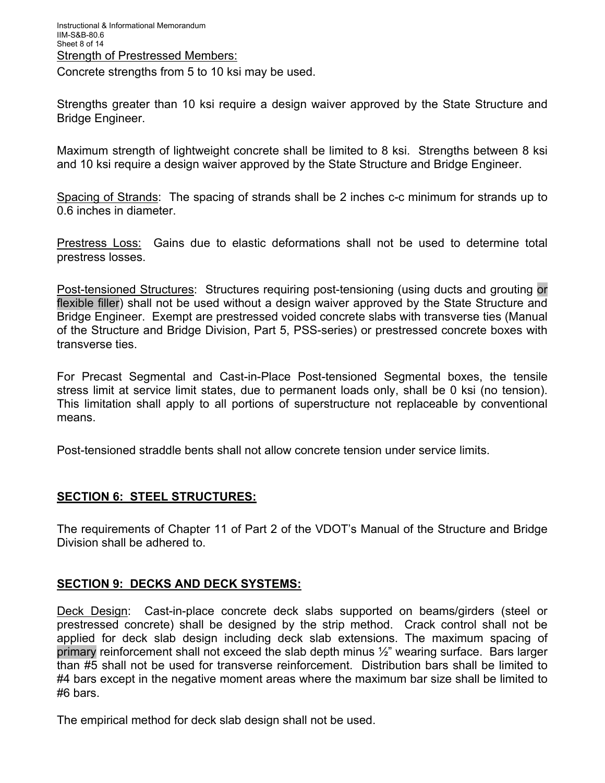Concrete strengths from 5 to 10 ksi may be used.

Strengths greater than 10 ksi require a design waiver approved by the State Structure and Bridge Engineer.

Maximum strength of lightweight concrete shall be limited to 8 ksi. Strengths between 8 ksi and 10 ksi require a design waiver approved by the State Structure and Bridge Engineer.

Spacing of Strands: The spacing of strands shall be 2 inches c-c minimum for strands up to 0.6 inches in diameter.

Prestress Loss: Gains due to elastic deformations shall not be used to determine total prestress losses.

Post-tensioned Structures: Structures requiring post-tensioning (using ducts and grouting or flexible filler) shall not be used without a design waiver approved by the State Structure and Bridge Engineer. Exempt are prestressed voided concrete slabs with transverse ties (Manual of the Structure and Bridge Division, Part 5, PSS-series) or prestressed concrete boxes with transverse ties.

For Precast Segmental and Cast-in-Place Post-tensioned Segmental boxes, the tensile stress limit at service limit states, due to permanent loads only, shall be 0 ksi (no tension). This limitation shall apply to all portions of superstructure not replaceable by conventional means.

Post-tensioned straddle bents shall not allow concrete tension under service limits.

# **SECTION 6: STEEL STRUCTURES:**

The requirements of Chapter 11 of Part 2 of the VDOT's Manual of the Structure and Bridge Division shall be adhered to.

#### **SECTION 9: DECKS AND DECK SYSTEMS:**

Deck Design: Cast-in-place concrete deck slabs supported on beams/girders (steel or prestressed concrete) shall be designed by the strip method. Crack control shall not be applied for deck slab design including deck slab extensions. The maximum spacing of primary reinforcement shall not exceed the slab depth minus ½" wearing surface. Bars larger than #5 shall not be used for transverse reinforcement. Distribution bars shall be limited to #4 bars except in the negative moment areas where the maximum bar size shall be limited to #6 bars.

The empirical method for deck slab design shall not be used.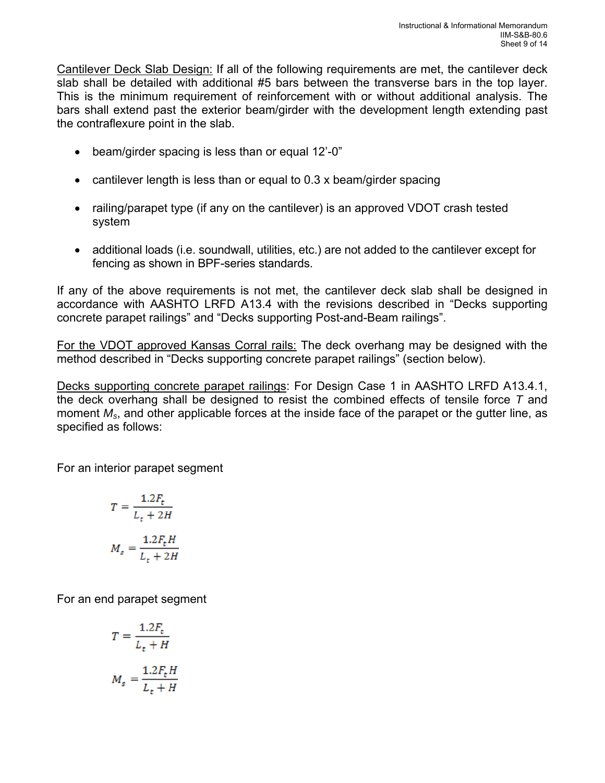Cantilever Deck Slab Design: If all of the following requirements are met, the cantilever deck slab shall be detailed with additional #5 bars between the transverse bars in the top layer. This is the minimum requirement of reinforcement with or without additional analysis. The bars shall extend past the exterior beam/girder with the development length extending past the contraflexure point in the slab.

- beam/girder spacing is less than or equal 12'-0"
- cantilever length is less than or equal to 0.3 x beam/girder spacing
- railing/parapet type (if any on the cantilever) is an approved VDOT crash tested system
- additional loads (i.e. soundwall, utilities, etc.) are not added to the cantilever except for fencing as shown in BPF-series standards.

If any of the above requirements is not met, the cantilever deck slab shall be designed in accordance with AASHTO LRFD A13.4 with the revisions described in "Decks supporting concrete parapet railings" and "Decks supporting Post-and-Beam railings".

For the VDOT approved Kansas Corral rails: The deck overhang may be designed with the method described in "Decks supporting concrete parapet railings" (section below).

Decks supporting concrete parapet railings: For Design Case 1 in AASHTO LRFD A13.4.1, the deck overhang shall be designed to resist the combined effects of tensile force *T* and moment *Ms*, and other applicable forces at the inside face of the parapet or the gutter line, as specified as follows:

For an interior parapet segment

$$
T = \frac{1.2F_t}{L_t + 2H}
$$

$$
M_s = \frac{1.2F_tH}{L_t + 2H}
$$

For an end parapet segment

$$
T = \frac{1.2F_t}{L_t + H}
$$

$$
M_s = \frac{1.2F_t H}{L_t + H}
$$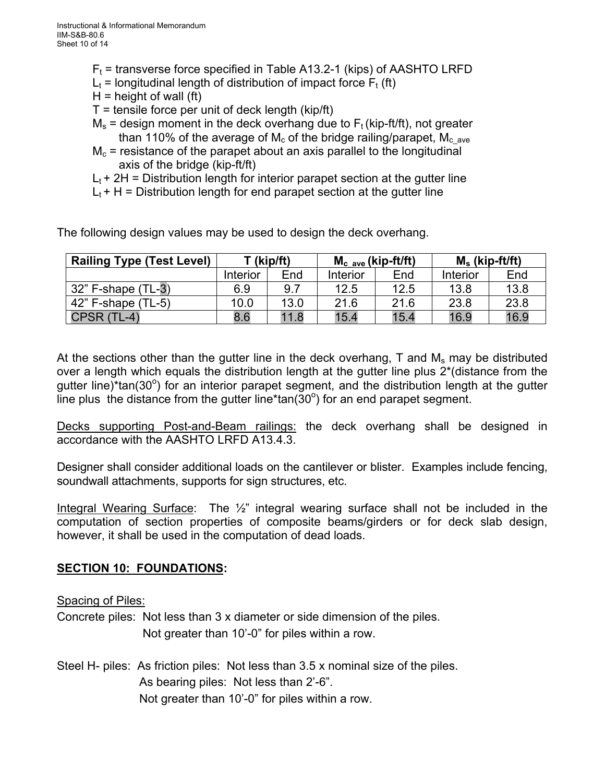- $F_t$  = transverse force specified in Table A13.2-1 (kips) of AASHTO LRFD
- $L_t$  = longitudinal length of distribution of impact force  $F_t$  (ft)
- $H =$  height of wall (ft)
- $T =$  tensile force per unit of deck length (kip/ft)
- $M_s$  = design moment in the deck overhang due to  $F_t$  (kip-ft/ft), not greater than 110% of the average of M<sub>c</sub> of the bridge railing/parapet, M<sub>cave</sub>
- $M<sub>c</sub>$  = resistance of the parapet about an axis parallel to the longitudinal axis of the bridge (kip-ft/ft)
- $L_t$  + 2H = Distribution length for interior parapet section at the gutter line
- $L_t$  + H = Distribution length for end parapet section at the gutter line

The following design values may be used to design the deck overhang.

| <b>Railing Type (Test Level)</b> | T (kip/ft) |      | $M_c$ ave (kip-ft/ft) |      | $M_s$ (kip-ft/ft) |      |
|----------------------------------|------------|------|-----------------------|------|-------------------|------|
|                                  | Interior   | End  | Interior              | End  | Interior          | End  |
| $132$ " F-shape (TL-3)           | 6.9        | 9.1  | 12.5                  | 12.5 | 13.8              | 13.8 |
| $42$ " F-shape (TL-5)            | 10.0       | 13.0 | 21.6                  | 21.6 | 23.8              | 23.8 |
| CPSR(                            | 8.6        | 11.8 | 15.4                  | 15.4 | 16.9              | 16.9 |

At the sections other than the gutter line in the deck overhang,  $T$  and  $M_s$  may be distributed over a length which equals the distribution length at the gutter line plus 2\*(distance from the gutter line)\*tan(30°) for an interior parapet segment, and the distribution length at the gutter line plus the distance from the gutter line\*tan( $30^{\circ}$ ) for an end parapet segment.

Decks supporting Post-and-Beam railings: the deck overhang shall be designed in accordance with the AASHTO LRFD A13.4.3.

Designer shall consider additional loads on the cantilever or blister. Examples include fencing, soundwall attachments, supports for sign structures, etc.

Integral Wearing Surface: The 1/<sub>2</sub>" integral wearing surface shall not be included in the computation of section properties of composite beams/girders or for deck slab design, however, it shall be used in the computation of dead loads.

# **SECTION 10: FOUNDATIONS:**

#### Spacing of Piles:

Concrete piles: Not less than 3 x diameter or side dimension of the piles. Not greater than 10'-0" for piles within a row.

Steel H- piles: As friction piles: Not less than 3.5 x nominal size of the piles. As bearing piles: Not less than 2'-6". Not greater than 10'-0" for piles within a row.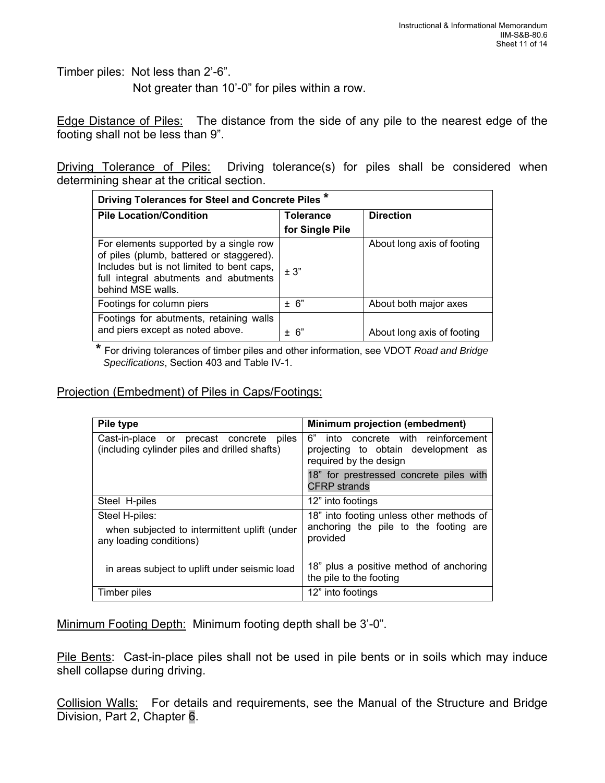Timber piles: Not less than 2'-6".

Not greater than 10'-0" for piles within a row.

Edge Distance of Piles: The distance from the side of any pile to the nearest edge of the footing shall not be less than 9".

Driving Tolerance of Piles: Driving tolerance(s) for piles shall be considered when determining shear at the critical section.

| Driving Tolerances for Steel and Concrete Piles *                                                                                                                                             |                 |                            |  |  |  |
|-----------------------------------------------------------------------------------------------------------------------------------------------------------------------------------------------|-----------------|----------------------------|--|--|--|
| <b>Pile Location/Condition</b>                                                                                                                                                                | Tolerance       | <b>Direction</b>           |  |  |  |
|                                                                                                                                                                                               | for Single Pile |                            |  |  |  |
| For elements supported by a single row<br>of piles (plumb, battered or staggered).<br>Includes but is not limited to bent caps,<br>full integral abutments and abutments<br>behind MSE walls. | ± 3"            | About long axis of footing |  |  |  |
| Footings for column piers                                                                                                                                                                     | ± 6"            | About both major axes      |  |  |  |
| Footings for abutments, retaining walls<br>and piers except as noted above.                                                                                                                   | ± 6"            | About long axis of footing |  |  |  |

**\*** For driving tolerances of timber piles and other information, see VDOT *Road and Bridge Specifications*, Section 403 and Table IV-1.

#### Projection (Embedment) of Piles in Caps/Footings:

| Pile type                                                                                   | <b>Minimum projection (embedment)</b>                                                                   |
|---------------------------------------------------------------------------------------------|---------------------------------------------------------------------------------------------------------|
| Cast-in-place or precast concrete<br>piles<br>(including cylinder piles and drilled shafts) | 6"<br>into concrete with reinforcement<br>projecting to obtain development as<br>required by the design |
|                                                                                             | 18" for prestressed concrete piles with<br><b>CFRP</b> strands                                          |
| Steel H-piles                                                                               | 12" into footings                                                                                       |
| Steel H-piles:                                                                              | 18" into footing unless other methods of                                                                |
| when subjected to intermittent uplift (under<br>any loading conditions)                     | anchoring the pile to the footing are<br>provided                                                       |
| in areas subject to uplift under seismic load                                               | 18" plus a positive method of anchoring<br>the pile to the footing                                      |
| Timber piles                                                                                | 12" into footings                                                                                       |

Minimum Footing Depth: Minimum footing depth shall be 3'-0".

Pile Bents: Cast-in-place piles shall not be used in pile bents or in soils which may induce shell collapse during driving.

Collision Walls: For details and requirements, see the Manual of the Structure and Bridge Division, Part 2, Chapter 6.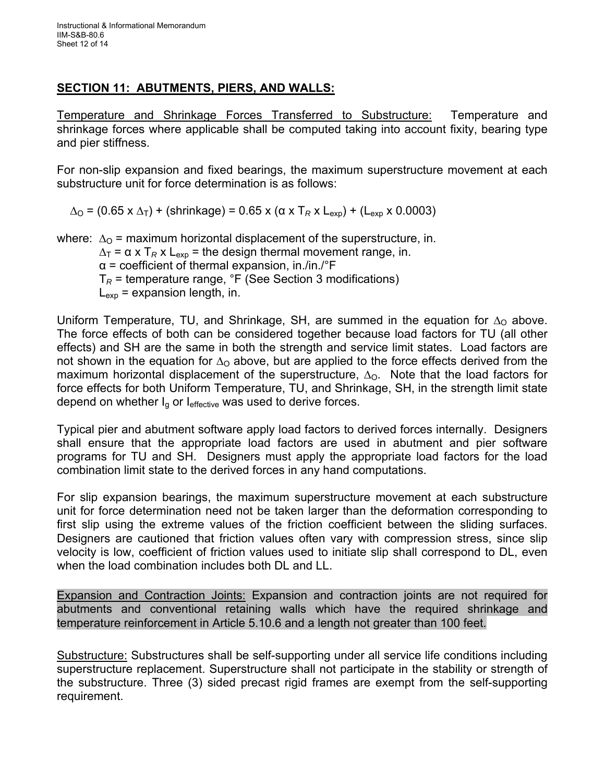# **SECTION 11: ABUTMENTS, PIERS, AND WALLS:**

Temperature and Shrinkage Forces Transferred to Substructure: Temperature and shrinkage forces where applicable shall be computed taking into account fixity, bearing type and pier stiffness.

For non-slip expansion and fixed bearings, the maximum superstructure movement at each substructure unit for force determination is as follows:

 $\Delta$ <sub>O</sub> = (0.65 x  $\Delta$ <sub>T</sub>) + (shrinkage) = 0.65 x (α x T<sub>*R*</sub> x L<sub>exp</sub>) + (L<sub>exp</sub> x 0.0003)

where:  $\Delta_{\rm O}$  = maximum horizontal displacement of the superstructure, in.

 $\Delta_T$  =  $\alpha$  x T<sub>R</sub> x L<sub>exp</sub> = the design thermal movement range, in.

 $\alpha$  = coefficient of thermal expansion, in./in./ $\epsilon$ F

T*<sup>R</sup>* = temperature range, °F (See Section 3 modifications)

 $L_{\text{exo}}$  = expansion length, in.

Uniform Temperature, TU, and Shrinkage, SH, are summed in the equation for  $\Delta_{\rm O}$  above. The force effects of both can be considered together because load factors for TU (all other effects) and SH are the same in both the strength and service limit states. Load factors are not shown in the equation for  $\Delta_{\rm O}$  above, but are applied to the force effects derived from the maximum horizontal displacement of the superstructure,  $\Delta_{\Omega}$ . Note that the load factors for force effects for both Uniform Temperature, TU, and Shrinkage, SH, in the strength limit state depend on whether  $I<sub>g</sub>$  or  $I<sub>effective</sub>$  was used to derive forces.

Typical pier and abutment software apply load factors to derived forces internally. Designers shall ensure that the appropriate load factors are used in abutment and pier software programs for TU and SH. Designers must apply the appropriate load factors for the load combination limit state to the derived forces in any hand computations.

For slip expansion bearings, the maximum superstructure movement at each substructure unit for force determination need not be taken larger than the deformation corresponding to first slip using the extreme values of the friction coefficient between the sliding surfaces. Designers are cautioned that friction values often vary with compression stress, since slip velocity is low, coefficient of friction values used to initiate slip shall correspond to DL, even when the load combination includes both DL and LL.

Expansion and Contraction Joints: Expansion and contraction joints are not required for abutments and conventional retaining walls which have the required shrinkage and temperature reinforcement in Article 5.10.6 and a length not greater than 100 feet.

Substructure: Substructures shall be self-supporting under all service life conditions including superstructure replacement. Superstructure shall not participate in the stability or strength of the substructure. Three (3) sided precast rigid frames are exempt from the self-supporting requirement.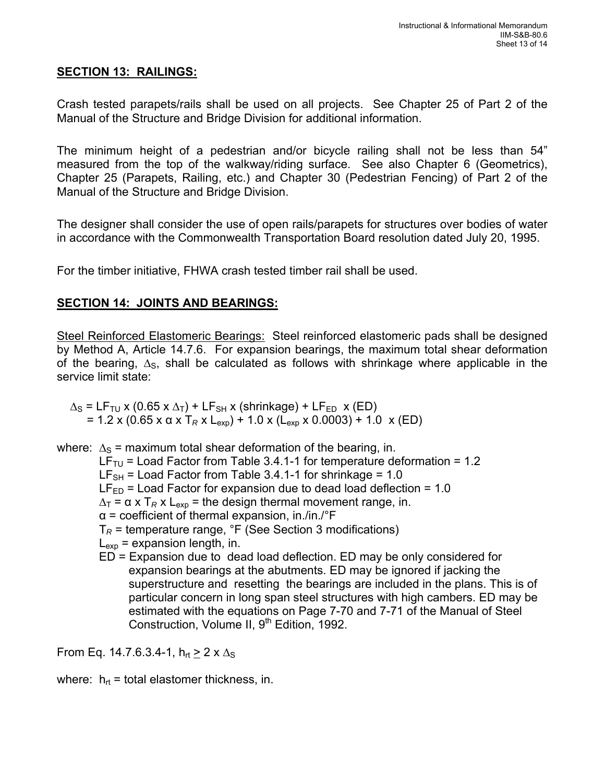# **SECTION 13: RAILINGS:**

Crash tested parapets/rails shall be used on all projects. See Chapter 25 of Part 2 of the Manual of the Structure and Bridge Division for additional information.

The minimum height of a pedestrian and/or bicycle railing shall not be less than 54" measured from the top of the walkway/riding surface. See also Chapter 6 (Geometrics), Chapter 25 (Parapets, Railing, etc.) and Chapter 30 (Pedestrian Fencing) of Part 2 of the Manual of the Structure and Bridge Division.

The designer shall consider the use of open rails/parapets for structures over bodies of water in accordance with the Commonwealth Transportation Board resolution dated July 20, 1995.

For the timber initiative, FHWA crash tested timber rail shall be used.

# **SECTION 14: JOINTS AND BEARINGS:**

Steel Reinforced Elastomeric Bearings: Steel reinforced elastomeric pads shall be designed by Method A, Article 14.7.6. For expansion bearings, the maximum total shear deformation of the bearing,  $\Delta_{\rm S}$ , shall be calculated as follows with shrinkage where applicable in the service limit state:

 $\Delta$ <sub>S</sub> = LF<sub>TU</sub> x (0.65 x  $\Delta$ <sub>T</sub>) + LF<sub>SH</sub> x (shrinkage) + LF<sub>ED</sub> x (ED) = 1.2 x (0.65 x α x T<sub>R</sub> x L<sub>exp</sub>) + 1.0 x (L<sub>exp</sub> x 0.0003) + 1.0 x (ED)

where:  $\Delta_{\rm S}$  = maximum total shear deformation of the bearing, in.

- LF<sub>TU</sub> = Load Factor from Table 3.4.1-1 for temperature deformation = 1.2  $LF_{SH}$  = Load Factor from Table 3.4.1-1 for shrinkage = 1.0  $LF_{ED}$  = Load Factor for expansion due to dead load deflection = 1.0  $\Delta_T$  =  $\alpha$  x T<sub>R</sub> x L<sub>exp</sub> = the design thermal movement range, in.  $\alpha$  = coefficient of thermal expansion, in./in./°F T*<sup>R</sup>* = temperature range, °F (See Section 3 modifications)  $L_{\text{exo}}$  = expansion length, in.
	- ED = Expansion due to dead load deflection. ED may be only considered for expansion bearings at the abutments. ED may be ignored if jacking the superstructure and resetting the bearings are included in the plans. This is of particular concern in long span steel structures with high cambers. ED may be estimated with the equations on Page 7-70 and 7-71 of the Manual of Steel Construction, Volume II, 9<sup>th</sup> Edition, 1992.

From Eq. 14.7.6.3.4-1,  $h_{rt} \ge 2 \times \Delta_S$ 

where:  $h_{rt}$  = total elastomer thickness, in.